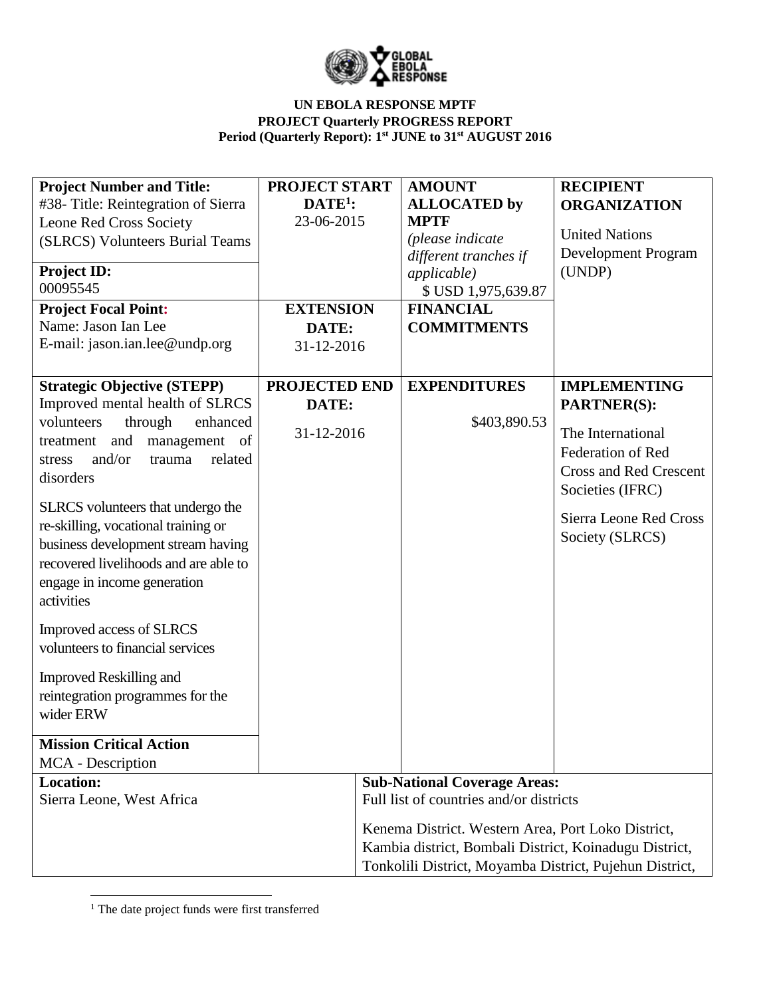

| #38- Title: Reintegration of Sierra<br>$DATE1$ :<br><b>ALLOCATED</b> by<br><b>ORGANIZATION</b><br>23-06-2015<br><b>MPTF</b><br>Leone Red Cross Society<br><b>United Nations</b><br>(please indicate<br>(SLRCS) Volunteers Burial Teams<br><b>Development Program</b><br>different tranches if<br><b>Project ID:</b><br>(UNDP)<br><i>applicable</i> )<br>00095545<br>\$ USD 1,975,639.87<br><b>Project Focal Point:</b><br><b>EXTENSION</b><br><b>FINANCIAL</b><br>Name: Jason Ian Lee<br>DATE:<br><b>COMMITMENTS</b><br>E-mail: jason.ian.lee@undp.org<br>31-12-2016<br><b>Strategic Objective (STEPP)</b><br><b>PROJECTED END</b><br><b>EXPENDITURES</b><br><b>IMPLEMENTING</b> |
|----------------------------------------------------------------------------------------------------------------------------------------------------------------------------------------------------------------------------------------------------------------------------------------------------------------------------------------------------------------------------------------------------------------------------------------------------------------------------------------------------------------------------------------------------------------------------------------------------------------------------------------------------------------------------------|
|                                                                                                                                                                                                                                                                                                                                                                                                                                                                                                                                                                                                                                                                                  |
|                                                                                                                                                                                                                                                                                                                                                                                                                                                                                                                                                                                                                                                                                  |
|                                                                                                                                                                                                                                                                                                                                                                                                                                                                                                                                                                                                                                                                                  |
|                                                                                                                                                                                                                                                                                                                                                                                                                                                                                                                                                                                                                                                                                  |
|                                                                                                                                                                                                                                                                                                                                                                                                                                                                                                                                                                                                                                                                                  |
|                                                                                                                                                                                                                                                                                                                                                                                                                                                                                                                                                                                                                                                                                  |
|                                                                                                                                                                                                                                                                                                                                                                                                                                                                                                                                                                                                                                                                                  |
|                                                                                                                                                                                                                                                                                                                                                                                                                                                                                                                                                                                                                                                                                  |
|                                                                                                                                                                                                                                                                                                                                                                                                                                                                                                                                                                                                                                                                                  |
|                                                                                                                                                                                                                                                                                                                                                                                                                                                                                                                                                                                                                                                                                  |
|                                                                                                                                                                                                                                                                                                                                                                                                                                                                                                                                                                                                                                                                                  |
| Improved mental health of SLRCS<br>DATE:<br><b>PARTNER(S):</b>                                                                                                                                                                                                                                                                                                                                                                                                                                                                                                                                                                                                                   |
| \$403,890.53<br>volunteers<br>through<br>enhanced                                                                                                                                                                                                                                                                                                                                                                                                                                                                                                                                                                                                                                |
| The International<br>31-12-2016<br>and<br>management of<br>treatment                                                                                                                                                                                                                                                                                                                                                                                                                                                                                                                                                                                                             |
| <b>Federation of Red</b><br>and/or<br>trauma<br>related<br>stress                                                                                                                                                                                                                                                                                                                                                                                                                                                                                                                                                                                                                |
| <b>Cross and Red Crescent</b><br>disorders                                                                                                                                                                                                                                                                                                                                                                                                                                                                                                                                                                                                                                       |
| Societies (IFRC)                                                                                                                                                                                                                                                                                                                                                                                                                                                                                                                                                                                                                                                                 |
| SLRCS volunteers that undergo the<br>Sierra Leone Red Cross                                                                                                                                                                                                                                                                                                                                                                                                                                                                                                                                                                                                                      |
| re-skilling, vocational training or<br>Society (SLRCS)                                                                                                                                                                                                                                                                                                                                                                                                                                                                                                                                                                                                                           |
| business development stream having                                                                                                                                                                                                                                                                                                                                                                                                                                                                                                                                                                                                                                               |
| recovered livelihoods and are able to                                                                                                                                                                                                                                                                                                                                                                                                                                                                                                                                                                                                                                            |
| engage in income generation                                                                                                                                                                                                                                                                                                                                                                                                                                                                                                                                                                                                                                                      |
| activities                                                                                                                                                                                                                                                                                                                                                                                                                                                                                                                                                                                                                                                                       |
| Improved access of SLRCS                                                                                                                                                                                                                                                                                                                                                                                                                                                                                                                                                                                                                                                         |
| volunteers to financial services                                                                                                                                                                                                                                                                                                                                                                                                                                                                                                                                                                                                                                                 |
|                                                                                                                                                                                                                                                                                                                                                                                                                                                                                                                                                                                                                                                                                  |
| <b>Improved Reskilling and</b>                                                                                                                                                                                                                                                                                                                                                                                                                                                                                                                                                                                                                                                   |
| reintegration programmes for the                                                                                                                                                                                                                                                                                                                                                                                                                                                                                                                                                                                                                                                 |
| wider ERW                                                                                                                                                                                                                                                                                                                                                                                                                                                                                                                                                                                                                                                                        |
|                                                                                                                                                                                                                                                                                                                                                                                                                                                                                                                                                                                                                                                                                  |
| <b>Mission Critical Action</b>                                                                                                                                                                                                                                                                                                                                                                                                                                                                                                                                                                                                                                                   |
| <b>MCA</b> - Description                                                                                                                                                                                                                                                                                                                                                                                                                                                                                                                                                                                                                                                         |
| <b>Location:</b><br><b>Sub-National Coverage Areas:</b>                                                                                                                                                                                                                                                                                                                                                                                                                                                                                                                                                                                                                          |
| Sierra Leone, West Africa<br>Full list of countries and/or districts                                                                                                                                                                                                                                                                                                                                                                                                                                                                                                                                                                                                             |
| Kenema District. Western Area, Port Loko District,                                                                                                                                                                                                                                                                                                                                                                                                                                                                                                                                                                                                                               |
| Kambia district, Bombali District, Koinadugu District,                                                                                                                                                                                                                                                                                                                                                                                                                                                                                                                                                                                                                           |
| Tonkolili District, Moyamba District, Pujehun District,                                                                                                                                                                                                                                                                                                                                                                                                                                                                                                                                                                                                                          |

 $\overline{\phantom{a}}$ <sup>1</sup> The date project funds were first transferred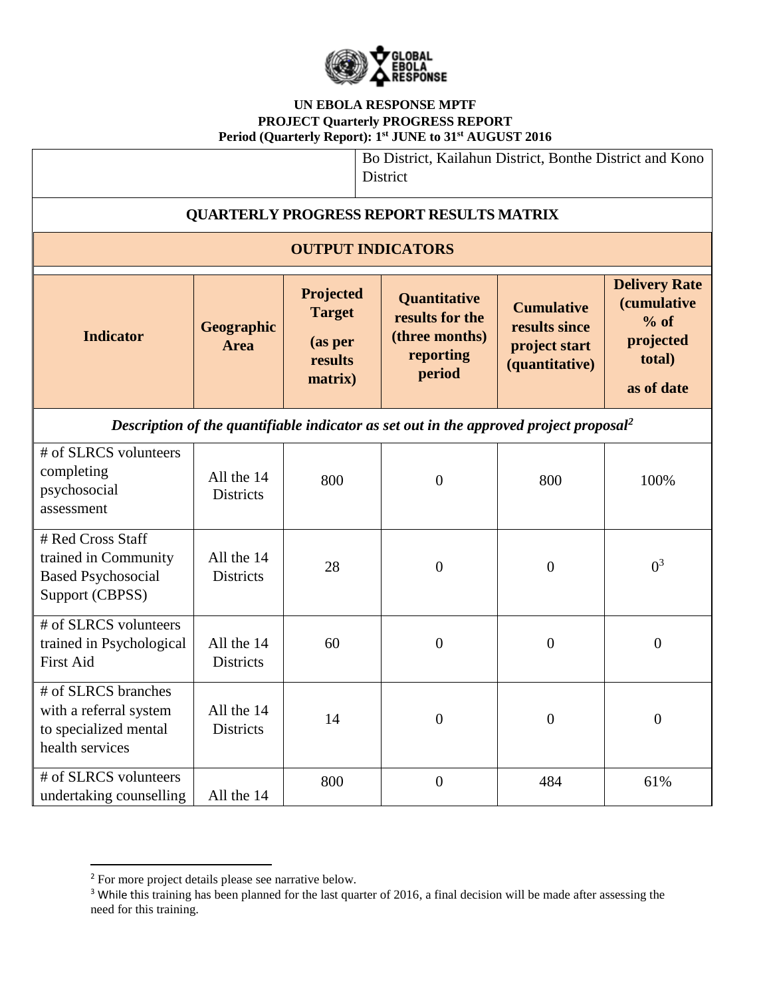

| Bo District, Kailahun District, Bonthe District and Kono<br>District                               |                                |                                                             |                                                                                 |                                                                       |                                                                                           |
|----------------------------------------------------------------------------------------------------|--------------------------------|-------------------------------------------------------------|---------------------------------------------------------------------------------|-----------------------------------------------------------------------|-------------------------------------------------------------------------------------------|
| <b>QUARTERLY PROGRESS REPORT RESULTS MATRIX</b>                                                    |                                |                                                             |                                                                                 |                                                                       |                                                                                           |
|                                                                                                    |                                | <b>OUTPUT INDICATORS</b>                                    |                                                                                 |                                                                       |                                                                                           |
| <b>Indicator</b>                                                                                   | Geographic<br><b>Area</b>      | Projected<br><b>Target</b><br>(as per<br>results<br>matrix) | <b>Quantitative</b><br>results for the<br>(three months)<br>reporting<br>period | <b>Cumulative</b><br>results since<br>project start<br>(quantitative) | <b>Delivery Rate</b><br><i>(cumulative</i><br>$%$ of<br>projected<br>total)<br>as of date |
| Description of the quantifiable indicator as set out in the approved project proposal <sup>2</sup> |                                |                                                             |                                                                                 |                                                                       |                                                                                           |
| # of SLRCS volunteers<br>completing<br>psychosocial<br>assessment                                  | All the 14<br><b>Districts</b> | 800                                                         | $\boldsymbol{0}$                                                                | 800                                                                   | 100%                                                                                      |
| # Red Cross Staff<br>trained in Community<br><b>Based Psychosocial</b><br>Support (CBPSS)          | All the 14<br><b>Districts</b> | 28                                                          | $\boldsymbol{0}$                                                                | $\overline{0}$                                                        | $0^3$                                                                                     |
| # of SLRCS volunteers<br>trained in Psychological<br>First Aid                                     | All the 14<br><b>Districts</b> | 60                                                          | $\overline{0}$                                                                  | $\overline{0}$                                                        | $\overline{0}$                                                                            |
| # of SLRCS branches<br>with a referral system<br>to specialized mental<br>health services          | All the 14<br><b>Districts</b> | 14                                                          | $\boldsymbol{0}$                                                                | $\overline{0}$                                                        | $\overline{0}$                                                                            |
| # of SLRCS volunteers<br>undertaking counselling                                                   | All the 14                     | 800                                                         | $\boldsymbol{0}$                                                                | 484                                                                   | 61%                                                                                       |

l

<sup>&</sup>lt;sup>2</sup> For more project details please see narrative below.

<sup>&</sup>lt;sup>3</sup> While this training has been planned for the last quarter of 2016, a final decision will be made after assessing the need for this training.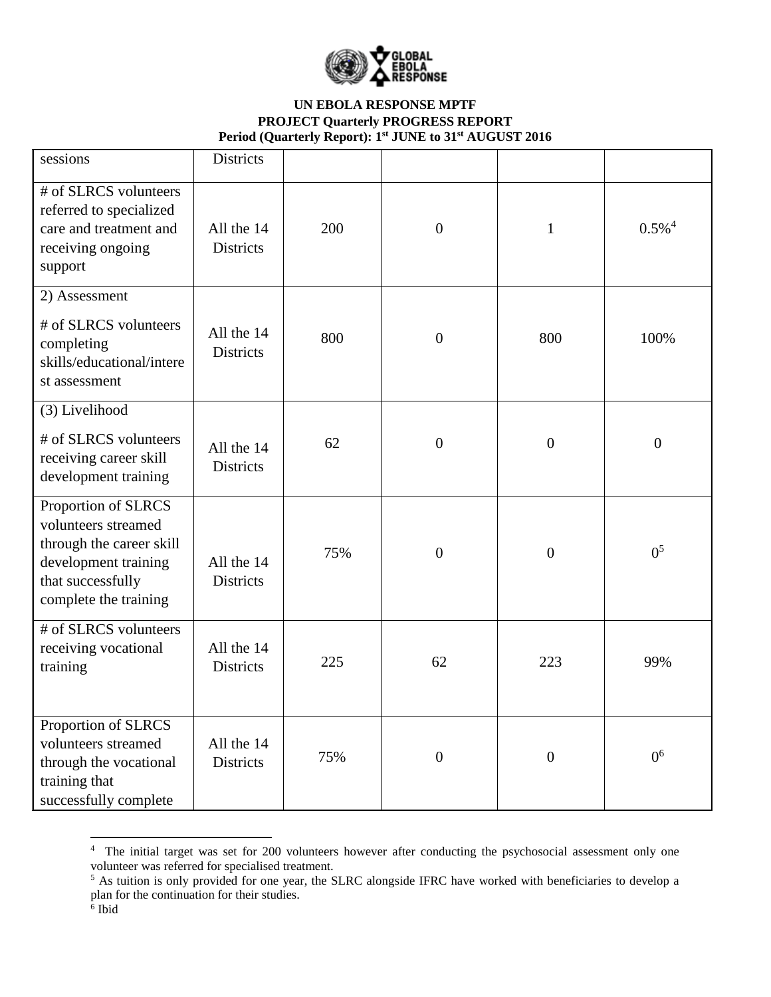

| sessions                                                                                                                                     | <b>Districts</b>               |     |                  |                  |                      |
|----------------------------------------------------------------------------------------------------------------------------------------------|--------------------------------|-----|------------------|------------------|----------------------|
| # of SLRCS volunteers<br>referred to specialized<br>care and treatment and<br>receiving ongoing<br>support                                   | All the 14<br><b>Districts</b> | 200 | $\boldsymbol{0}$ | $\mathbf{1}$     | $0.5\%$ <sup>4</sup> |
| 2) Assessment                                                                                                                                |                                |     |                  |                  |                      |
| # of SLRCS volunteers<br>completing<br>skills/educational/intere<br>st assessment                                                            | All the 14<br><b>Districts</b> | 800 | $\boldsymbol{0}$ | 800              | 100%                 |
| (3) Livelihood                                                                                                                               |                                |     |                  |                  |                      |
| # of SLRCS volunteers<br>receiving career skill<br>development training                                                                      | All the 14<br>Districts        | 62  | $\boldsymbol{0}$ | $\overline{0}$   | $\overline{0}$       |
| Proportion of SLRCS<br>volunteers streamed<br>through the career skill<br>development training<br>that successfully<br>complete the training | All the 14<br><b>Districts</b> | 75% | $\mathbf{0}$     | $\overline{0}$   | 0 <sup>5</sup>       |
| # of SLRCS volunteers<br>receiving vocational<br>training                                                                                    | All the 14<br><b>Districts</b> | 225 | 62               | 223              | 99%                  |
| Proportion of SLRCS<br>volunteers streamed<br>through the vocational<br>training that<br>successfully complete                               | All the 14<br>Districts        | 75% | $\boldsymbol{0}$ | $\boldsymbol{0}$ | 0 <sup>6</sup>       |

<sup>&</sup>lt;sup>4</sup> The initial target was set for 200 volunteers however after conducting the psychosocial assessment only one volunteer was referred for specialised treatment.

<sup>&</sup>lt;sup>5</sup> As tuition is only provided for one year, the SLRC alongside IFRC have worked with beneficiaries to develop a plan for the continuation for their studies.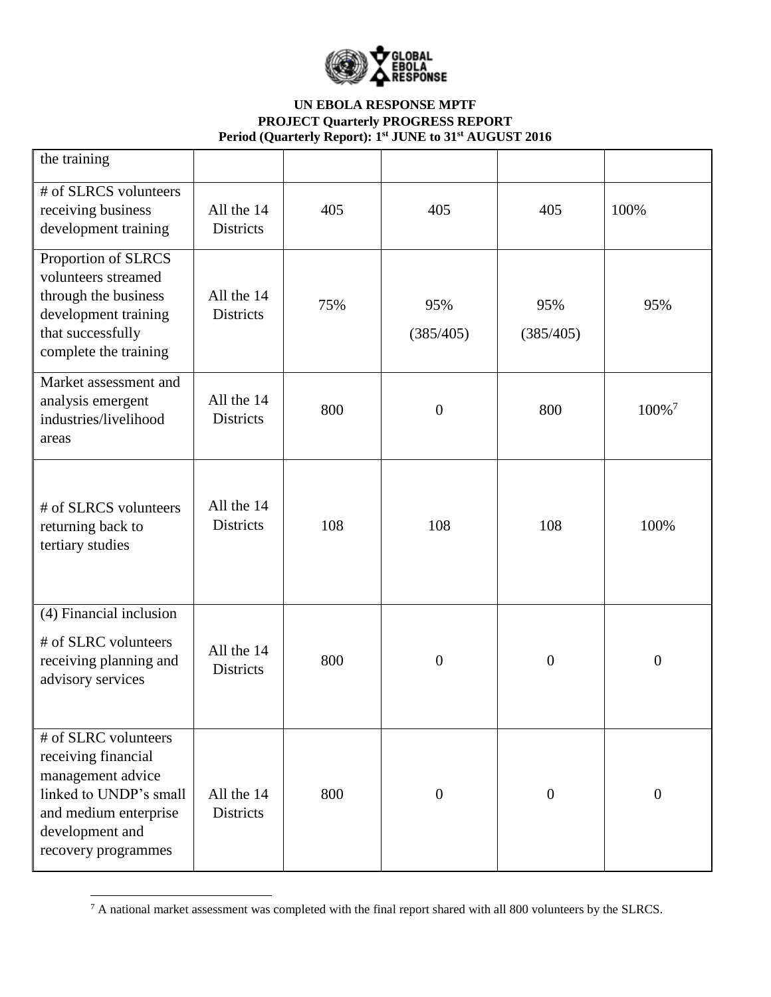

| the training                                                                                                                                                  |                                |     |                  |                  |                   |
|---------------------------------------------------------------------------------------------------------------------------------------------------------------|--------------------------------|-----|------------------|------------------|-------------------|
| # of SLRCS volunteers<br>receiving business<br>development training                                                                                           | All the 14<br><b>Districts</b> | 405 | 405              | 405              | 100%              |
| Proportion of SLRCS<br>volunteers streamed<br>through the business<br>development training<br>that successfully<br>complete the training                      | All the 14<br><b>Districts</b> | 75% | 95%<br>(385/405) | 95%<br>(385/405) | 95%               |
| Market assessment and<br>analysis emergent<br>industries/livelihood<br>areas                                                                                  | All the 14<br><b>Districts</b> | 800 | $\boldsymbol{0}$ | 800              | 100% <sup>7</sup> |
| # of SLRCS volunteers<br>returning back to<br>tertiary studies                                                                                                | All the 14<br>Districts        | 108 | 108              | 108              | 100%              |
| (4) Financial inclusion<br># of SLRC volunteers<br>receiving planning and<br>advisory services                                                                | All the 14<br><b>Districts</b> | 800 | $\boldsymbol{0}$ | $\overline{0}$   | $\boldsymbol{0}$  |
| # of SLRC volunteers<br>receiving financial<br>management advice<br>linked to UNDP's small<br>and medium enterprise<br>development and<br>recovery programmes | All the 14<br>Districts        | 800 | $\boldsymbol{0}$ | $\overline{0}$   | $\boldsymbol{0}$  |

 $^7$  A national market assessment was completed with the final report shared with all 800 volunteers by the SLRCS.

 $\overline{\phantom{a}}$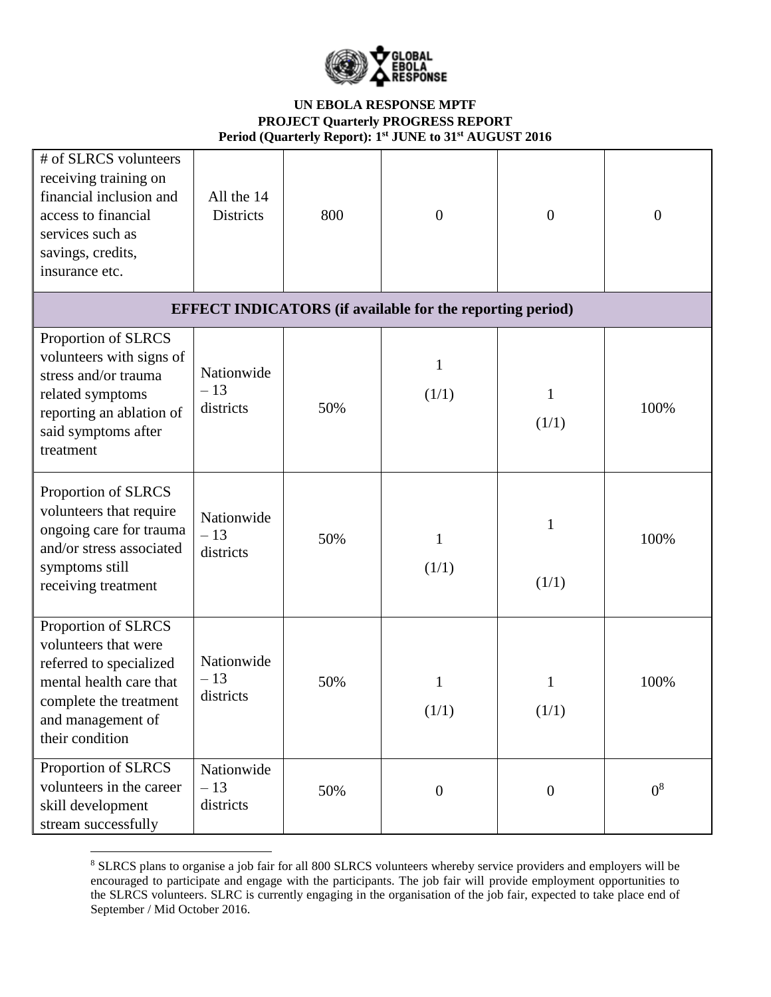

| # of SLRCS volunteers<br>receiving training on<br>financial inclusion and<br>access to financial<br>services such as<br>savings, credits,<br>insurance etc.         | All the 14<br><b>Districts</b>   | 800 | $\overline{0}$                                                   | $\overline{0}$ | $\overline{0}$ |
|---------------------------------------------------------------------------------------------------------------------------------------------------------------------|----------------------------------|-----|------------------------------------------------------------------|----------------|----------------|
|                                                                                                                                                                     |                                  |     | <b>EFFECT INDICATORS</b> (if available for the reporting period) |                |                |
| Proportion of SLRCS<br>volunteers with signs of<br>stress and/or trauma<br>related symptoms<br>reporting an ablation of<br>said symptoms after<br>treatment         | Nationwide<br>$-13$<br>districts | 50% | 1<br>(1/1)                                                       | 1<br>(1/1)     | 100%           |
| Proportion of SLRCS<br>volunteers that require<br>ongoing care for trauma<br>and/or stress associated<br>symptoms still<br>receiving treatment                      | Nationwide<br>$-13$<br>districts | 50% | 1<br>(1/1)                                                       | 1<br>(1/1)     | 100%           |
| Proportion of SLRCS<br>volunteers that were<br>referred to specialized<br>mental health care that<br>complete the treatment<br>and management of<br>their condition | Nationwide<br>$-13$<br>districts | 50% | 1<br>(1/1)                                                       | 1<br>(1/1)     | 100%           |
| Proportion of SLRCS<br>volunteers in the career<br>skill development<br>stream successfully                                                                         | Nationwide<br>$-13$<br>districts | 50% | $\boldsymbol{0}$                                                 | $\overline{0}$ | 0 <sup>8</sup> |

<sup>8</sup> SLRCS plans to organise a job fair for all 800 SLRCS volunteers whereby service providers and employers will be encouraged to participate and engage with the participants. The job fair will provide employment opportunities to the SLRCS volunteers. SLRC is currently engaging in the organisation of the job fair, expected to take place end of September / Mid October 2016.

 $\overline{\phantom{a}}$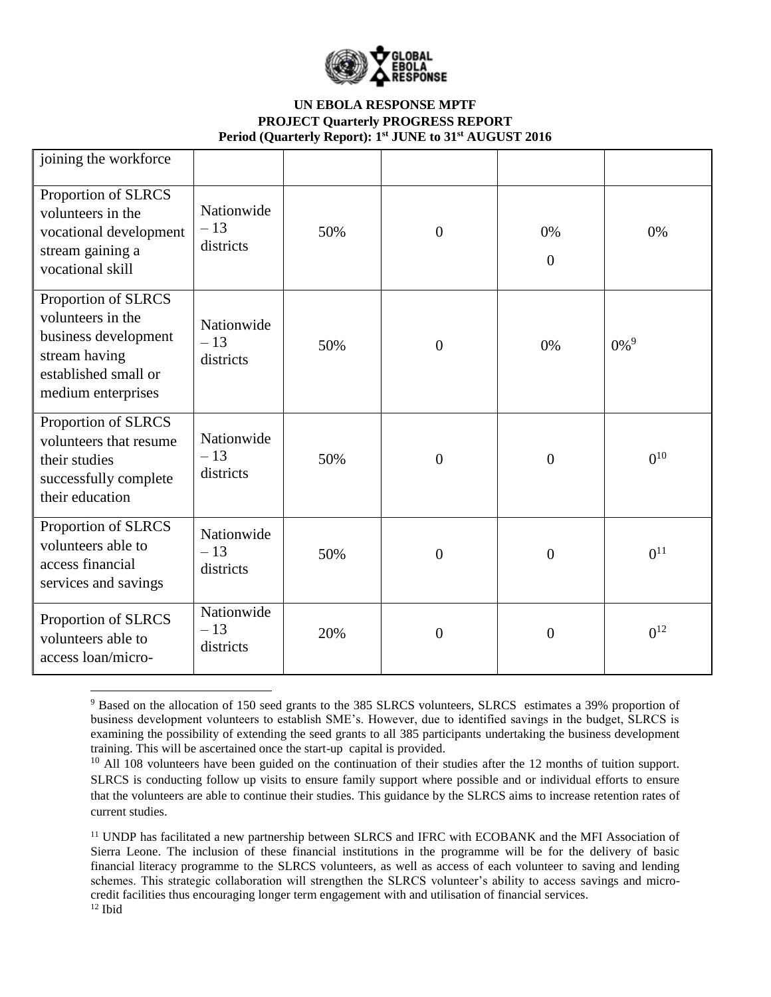

| joining the workforce                                                                                                           |                                  |     |                |                      |                    |
|---------------------------------------------------------------------------------------------------------------------------------|----------------------------------|-----|----------------|----------------------|--------------------|
| Proportion of SLRCS<br>volunteers in the<br>vocational development<br>stream gaining a<br>vocational skill                      | Nationwide<br>$-13$<br>districts | 50% | $\overline{0}$ | 0%<br>$\overline{0}$ | 0%                 |
| Proportion of SLRCS<br>volunteers in the<br>business development<br>stream having<br>established small or<br>medium enterprises | Nationwide<br>$-13$<br>districts | 50% | $\overline{0}$ | 0%                   | $0\%$ <sup>9</sup> |
| Proportion of SLRCS<br>volunteers that resume<br>their studies<br>successfully complete<br>their education                      | Nationwide<br>$-13$<br>districts | 50% | $\overline{0}$ | $\overline{0}$       | $0^{10}$           |
| Proportion of SLRCS<br>volunteers able to<br>access financial<br>services and savings                                           | Nationwide<br>$-13$<br>districts | 50% | $\overline{0}$ | $\overline{0}$       | $0^{11}$           |
| Proportion of SLRCS<br>volunteers able to<br>access loan/micro-                                                                 | Nationwide<br>$-13$<br>districts | 20% | $\overline{0}$ | $\overline{0}$       | $0^{12}$           |

 $\overline{\phantom{a}}$ <sup>9</sup> Based on the allocation of 150 seed grants to the 385 SLRCS volunteers, SLRCS estimates a 39% proportion of business development volunteers to establish SME's. However, due to identified savings in the budget, SLRCS is examining the possibility of extending the seed grants to all 385 participants undertaking the business development training. This will be ascertained once the start-up capital is provided.

<sup>&</sup>lt;sup>10</sup> All 108 volunteers have been guided on the continuation of their studies after the 12 months of tuition support. SLRCS is conducting follow up visits to ensure family support where possible and or individual efforts to ensure that the volunteers are able to continue their studies. This guidance by the SLRCS aims to increase retention rates of current studies.

<sup>&</sup>lt;sup>11</sup> UNDP has facilitated a new partnership between SLRCS and IFRC with ECOBANK and the MFI Association of Sierra Leone. The inclusion of these financial institutions in the programme will be for the delivery of basic financial literacy programme to the SLRCS volunteers, as well as access of each volunteer to saving and lending schemes. This strategic collaboration will strengthen the SLRCS volunteer's ability to access savings and microcredit facilities thus encouraging longer term engagement with and utilisation of financial services.  $12$  Ibid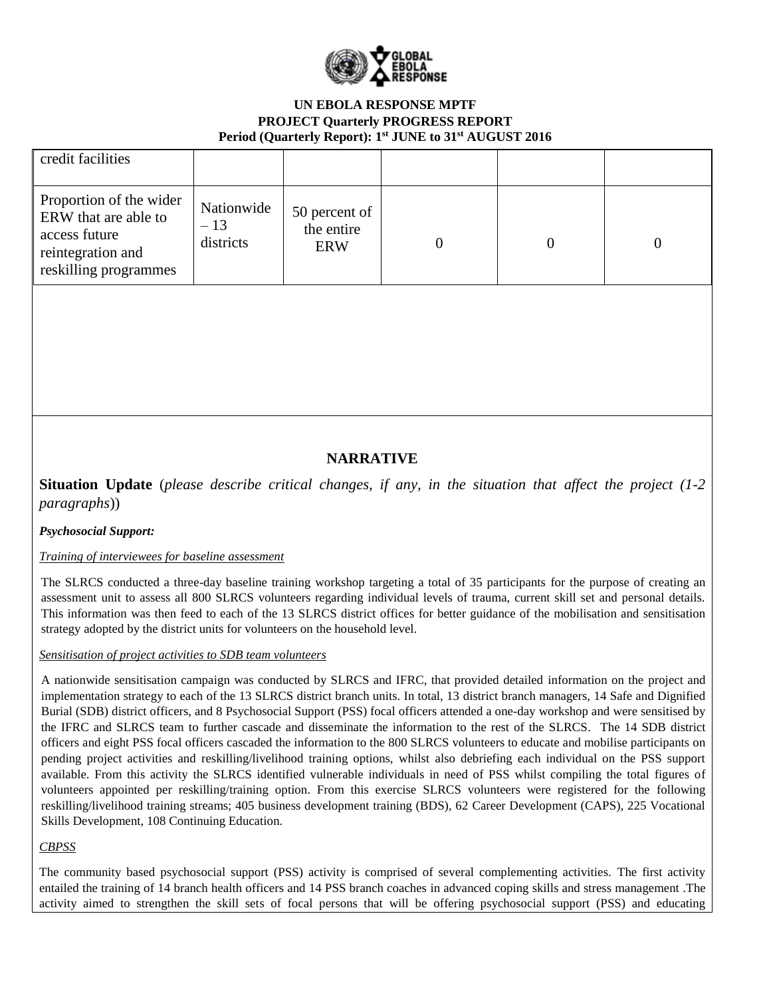

| credit facilities                                                                                              |                                  |                                           |  |  |
|----------------------------------------------------------------------------------------------------------------|----------------------------------|-------------------------------------------|--|--|
| Proportion of the wider<br>ERW that are able to<br>access future<br>reintegration and<br>reskilling programmes | Nationwide<br>$-13$<br>districts | 50 percent of<br>the entire<br><b>ERW</b> |  |  |

# **NARRATIVE**

**Situation Update** (*please describe critical changes, if any, in the situation that affect the project (1-2 paragraphs*))

## *Psychosocial Support:*

## *Training of interviewees for baseline assessment*

The SLRCS conducted a three-day baseline training workshop targeting a total of 35 participants for the purpose of creating an assessment unit to assess all 800 SLRCS volunteers regarding individual levels of trauma, current skill set and personal details. This information was then feed to each of the 13 SLRCS district offices for better guidance of the mobilisation and sensitisation strategy adopted by the district units for volunteers on the household level.

#### *Sensitisation of project activities to SDB team volunteers*

A nationwide sensitisation campaign was conducted by SLRCS and IFRC, that provided detailed information on the project and implementation strategy to each of the 13 SLRCS district branch units. In total, 13 district branch managers, 14 Safe and Dignified Burial (SDB) district officers, and 8 Psychosocial Support (PSS) focal officers attended a one-day workshop and were sensitised by the IFRC and SLRCS team to further cascade and disseminate the information to the rest of the SLRCS. The 14 SDB district officers and eight PSS focal officers cascaded the information to the 800 SLRCS volunteers to educate and mobilise participants on pending project activities and reskilling/livelihood training options, whilst also debriefing each individual on the PSS support available. From this activity the SLRCS identified vulnerable individuals in need of PSS whilst compiling the total figures of volunteers appointed per reskilling/training option. From this exercise SLRCS volunteers were registered for the following reskilling/livelihood training streams; 405 business development training (BDS), 62 Career Development (CAPS), 225 Vocational Skills Development, 108 Continuing Education.

## *CBPSS*

The community based psychosocial support (PSS) activity is comprised of several complementing activities. The first activity entailed the training of 14 branch health officers and 14 PSS branch coaches in advanced coping skills and stress management .The activity aimed to strengthen the skill sets of focal persons that will be offering psychosocial support (PSS) and educating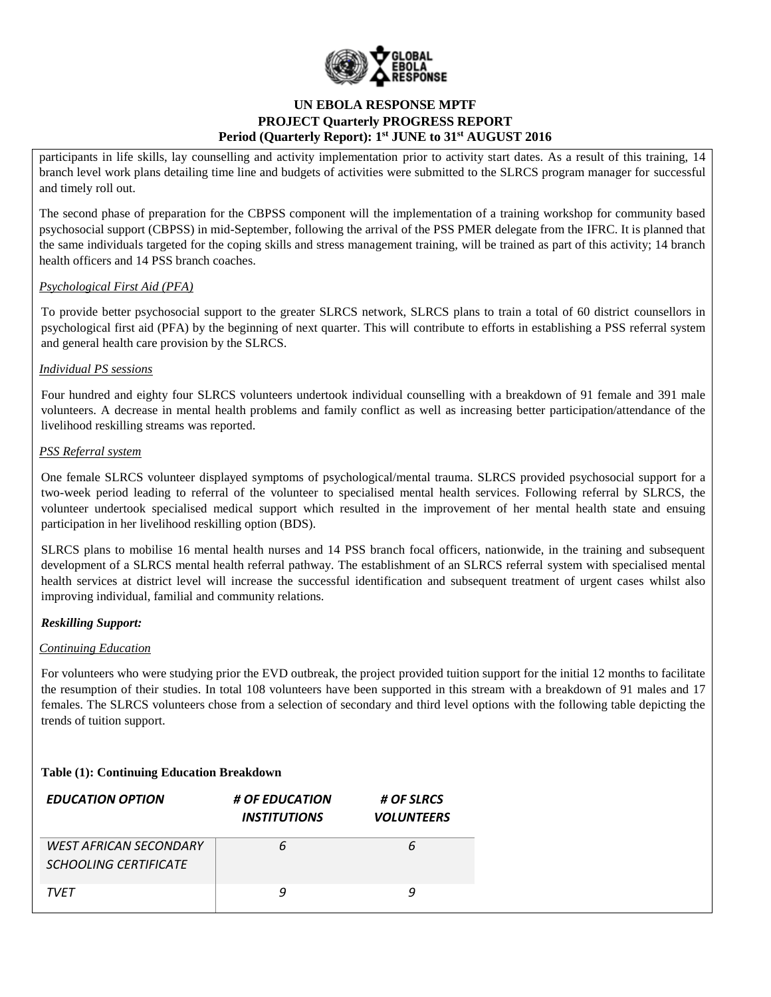

participants in life skills, lay counselling and activity implementation prior to activity start dates. As a result of this training, 14 branch level work plans detailing time line and budgets of activities were submitted to the SLRCS program manager for successful and timely roll out.

The second phase of preparation for the CBPSS component will the implementation of a training workshop for community based psychosocial support (CBPSS) in mid-September, following the arrival of the PSS PMER delegate from the IFRC. It is planned that the same individuals targeted for the coping skills and stress management training, will be trained as part of this activity; 14 branch health officers and 14 PSS branch coaches.

### *Psychological First Aid (PFA)*

To provide better psychosocial support to the greater SLRCS network, SLRCS plans to train a total of 60 district counsellors in psychological first aid (PFA) by the beginning of next quarter. This will contribute to efforts in establishing a PSS referral system and general health care provision by the SLRCS.

#### *Individual PS sessions*

Four hundred and eighty four SLRCS volunteers undertook individual counselling with a breakdown of 91 female and 391 male volunteers. A decrease in mental health problems and family conflict as well as increasing better participation/attendance of the livelihood reskilling streams was reported.

#### *PSS Referral system*

One female SLRCS volunteer displayed symptoms of psychological/mental trauma. SLRCS provided psychosocial support for a two-week period leading to referral of the volunteer to specialised mental health services. Following referral by SLRCS, the volunteer undertook specialised medical support which resulted in the improvement of her mental health state and ensuing participation in her livelihood reskilling option (BDS).

SLRCS plans to mobilise 16 mental health nurses and 14 PSS branch focal officers, nationwide, in the training and subsequent development of a SLRCS mental health referral pathway. The establishment of an SLRCS referral system with specialised mental health services at district level will increase the successful identification and subsequent treatment of urgent cases whilst also improving individual, familial and community relations.

#### *Reskilling Support:*

#### *Continuing Education*

For volunteers who were studying prior the EVD outbreak, the project provided tuition support for the initial 12 months to facilitate the resumption of their studies. In total 108 volunteers have been supported in this stream with a breakdown of 91 males and 17 females. The SLRCS volunteers chose from a selection of secondary and third level options with the following table depicting the trends of tuition support.

## **Table (1): Continuing Education Breakdown**

| <b>EDUCATION OPTION</b>                                       | # OF EDUCATION<br><i><b>INSTITUTIONS</b></i> | # OF SLRCS<br><b>VOLUNTEERS</b> |
|---------------------------------------------------------------|----------------------------------------------|---------------------------------|
| <b>WEST AFRICAN SECONDARY</b><br><b>SCHOOLING CERTIFICATE</b> |                                              |                                 |
| <b>TVFT</b>                                                   |                                              |                                 |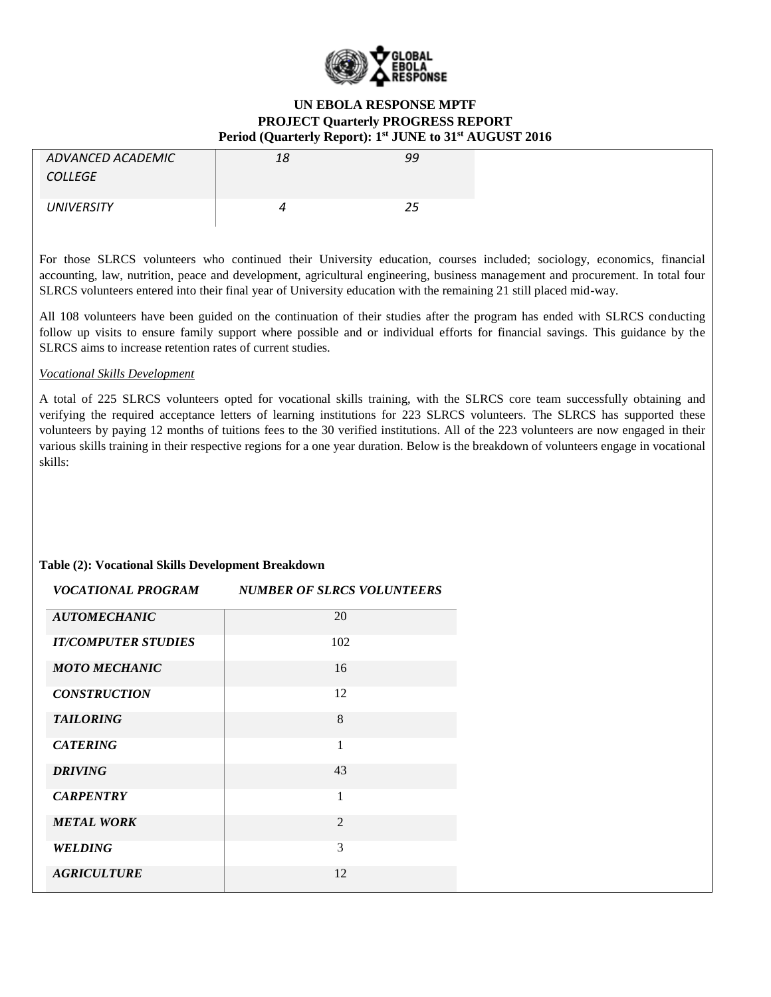

| ADVANCED ACADEMIC<br><b>COLLEGE</b> | 18 | 99 |
|-------------------------------------|----|----|
| <b>UNIVERSITY</b>                   |    | 25 |

For those SLRCS volunteers who continued their University education, courses included; sociology, economics, financial accounting, law, nutrition, peace and development, agricultural engineering, business management and procurement. In total four SLRCS volunteers entered into their final year of University education with the remaining 21 still placed mid-way.

All 108 volunteers have been guided on the continuation of their studies after the program has ended with SLRCS conducting follow up visits to ensure family support where possible and or individual efforts for financial savings. This guidance by the SLRCS aims to increase retention rates of current studies.

#### *Vocational Skills Development*

A total of 225 SLRCS volunteers opted for vocational skills training, with the SLRCS core team successfully obtaining and verifying the required acceptance letters of learning institutions for 223 SLRCS volunteers. The SLRCS has supported these volunteers by paying 12 months of tuitions fees to the 30 verified institutions. All of the 223 volunteers are now engaged in their various skills training in their respective regions for a one year duration. Below is the breakdown of volunteers engage in vocational skills:

#### **Table (2): Vocational Skills Development Breakdown**

| VOCATIONAL PROGRAM-        | <b>NUMBER OF SLRCS VOLUNTEERS</b> |
|----------------------------|-----------------------------------|
| <b>AUTOMECHANIC</b>        | 20                                |
| <b>IT/COMPUTER STUDIES</b> | 102                               |
| <b>MOTO MECHANIC</b>       | 16                                |
| <b>CONSTRUCTION</b>        | 12                                |
| <b>TAILORING</b>           | 8                                 |
| <b>CATERING</b>            | 1                                 |
| <b>DRIVING</b>             | 43                                |
| <b>CARPENTRY</b>           | 1                                 |
| <b>METAL WORK</b>          | $\mathfrak{D}$                    |
| WELDING                    | 3                                 |
| <b>AGRICULTURE</b>         | 12                                |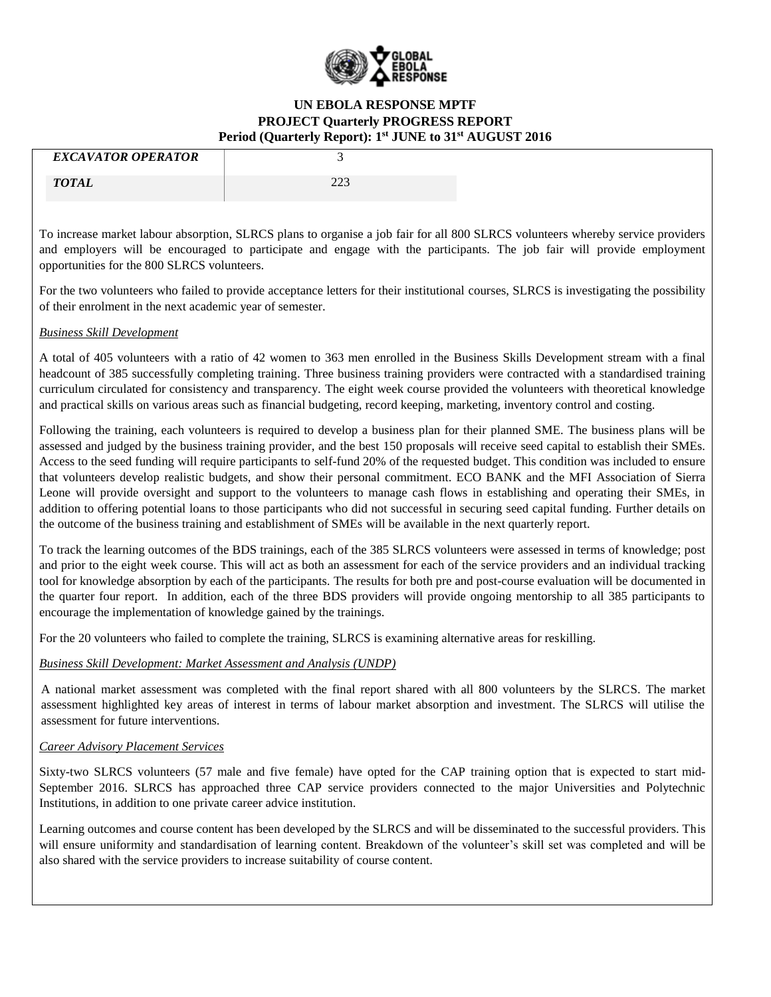

| <b>EXCAVATOR OPERATOR</b> |                 |
|---------------------------|-----------------|
| <b>TOTAL</b>              | nnn<br>ل سامبار |

To increase market labour absorption, SLRCS plans to organise a job fair for all 800 SLRCS volunteers whereby service providers and employers will be encouraged to participate and engage with the participants. The job fair will provide employment opportunities for the 800 SLRCS volunteers.

For the two volunteers who failed to provide acceptance letters for their institutional courses, SLRCS is investigating the possibility of their enrolment in the next academic year of semester.

#### *Business Skill Development*

A total of 405 volunteers with a ratio of 42 women to 363 men enrolled in the Business Skills Development stream with a final headcount of 385 successfully completing training. Three business training providers were contracted with a standardised training curriculum circulated for consistency and transparency. The eight week course provided the volunteers with theoretical knowledge and practical skills on various areas such as financial budgeting, record keeping, marketing, inventory control and costing.

Following the training, each volunteers is required to develop a business plan for their planned SME. The business plans will be assessed and judged by the business training provider, and the best 150 proposals will receive seed capital to establish their SMEs. Access to the seed funding will require participants to self-fund 20% of the requested budget. This condition was included to ensure that volunteers develop realistic budgets, and show their personal commitment. ECO BANK and the MFI Association of Sierra Leone will provide oversight and support to the volunteers to manage cash flows in establishing and operating their SMEs, in addition to offering potential loans to those participants who did not successful in securing seed capital funding. Further details on the outcome of the business training and establishment of SMEs will be available in the next quarterly report.

To track the learning outcomes of the BDS trainings, each of the 385 SLRCS volunteers were assessed in terms of knowledge; post and prior to the eight week course. This will act as both an assessment for each of the service providers and an individual tracking tool for knowledge absorption by each of the participants. The results for both pre and post-course evaluation will be documented in the quarter four report. In addition, each of the three BDS providers will provide ongoing mentorship to all 385 participants to encourage the implementation of knowledge gained by the trainings.

For the 20 volunteers who failed to complete the training, SLRCS is examining alternative areas for reskilling.

## *Business Skill Development: Market Assessment and Analysis (UNDP)*

A national market assessment was completed with the final report shared with all 800 volunteers by the SLRCS. The market assessment highlighted key areas of interest in terms of labour market absorption and investment. The SLRCS will utilise the assessment for future interventions.

#### *Career Advisory Placement Services*

Sixty-two SLRCS volunteers (57 male and five female) have opted for the CAP training option that is expected to start mid-September 2016. SLRCS has approached three CAP service providers connected to the major Universities and Polytechnic Institutions, in addition to one private career advice institution.

Learning outcomes and course content has been developed by the SLRCS and will be disseminated to the successful providers. This will ensure uniformity and standardisation of learning content. Breakdown of the volunteer's skill set was completed and will be also shared with the service providers to increase suitability of course content.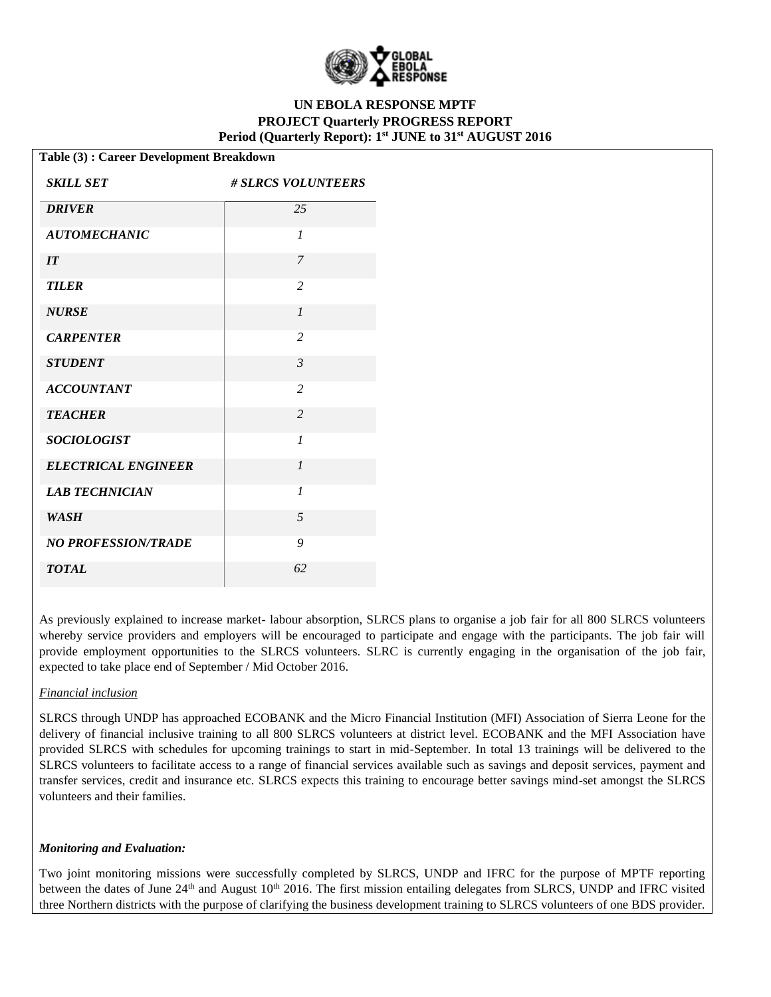

| Table (3): Career Development Breakdown |                           |  |  |
|-----------------------------------------|---------------------------|--|--|
| <b>SKILL SET</b>                        | <b># SLRCS VOLUNTEERS</b> |  |  |
| <b>DRIVER</b>                           | 25                        |  |  |
| <b>AUTOMECHANIC</b>                     | $\mathcal{I}$             |  |  |
| IT                                      | $\overline{7}$            |  |  |
| <b>TILER</b>                            | 2                         |  |  |
| <b>NURSE</b>                            | $\mathcal{I}$             |  |  |
| <b>CARPENTER</b>                        | $\overline{2}$            |  |  |
| <b>STUDENT</b>                          | $\mathfrak{Z}$            |  |  |
| <b>ACCOUNTANT</b>                       | $\overline{2}$            |  |  |
| <b>TEACHER</b>                          | $\overline{2}$            |  |  |
| <b>SOCIOLOGIST</b>                      | $\mathcal{I}$             |  |  |
| <b>ELECTRICAL ENGINEER</b>              | $\mathcal{I}$             |  |  |
| <b>LAB TECHNICIAN</b>                   | $\mathcal{I}$             |  |  |
| <b>WASH</b>                             | 5                         |  |  |
| <b>NO PROFESSION/TRADE</b>              | 9                         |  |  |
| <b>TOTAL</b>                            | 62                        |  |  |

As previously explained to increase market- labour absorption, SLRCS plans to organise a job fair for all 800 SLRCS volunteers whereby service providers and employers will be encouraged to participate and engage with the participants. The job fair will provide employment opportunities to the SLRCS volunteers. SLRC is currently engaging in the organisation of the job fair, expected to take place end of September / Mid October 2016.

#### *Financial inclusion*

SLRCS through UNDP has approached ECOBANK and the Micro Financial Institution (MFI) Association of Sierra Leone for the delivery of financial inclusive training to all 800 SLRCS volunteers at district level. ECOBANK and the MFI Association have provided SLRCS with schedules for upcoming trainings to start in mid-September. In total 13 trainings will be delivered to the SLRCS volunteers to facilitate access to a range of financial services available such as savings and deposit services, payment and transfer services, credit and insurance etc. SLRCS expects this training to encourage better savings mind-set amongst the SLRCS volunteers and their families.

#### *Monitoring and Evaluation:*

Two joint monitoring missions were successfully completed by SLRCS, UNDP and IFRC for the purpose of MPTF reporting between the dates of June 24<sup>th</sup> and August 10<sup>th</sup> 2016. The first mission entailing delegates from SLRCS, UNDP and IFRC visited three Northern districts with the purpose of clarifying the business development training to SLRCS volunteers of one BDS provider.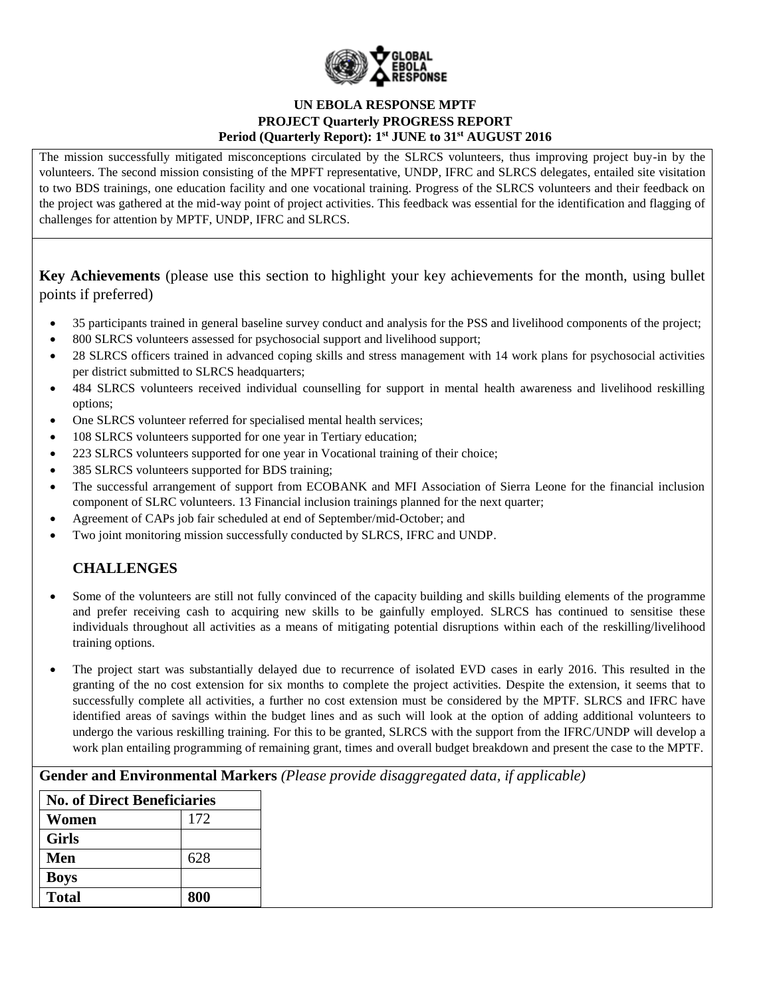

The mission successfully mitigated misconceptions circulated by the SLRCS volunteers, thus improving project buy-in by the volunteers. The second mission consisting of the MPFT representative, UNDP, IFRC and SLRCS delegates, entailed site visitation to two BDS trainings, one education facility and one vocational training. Progress of the SLRCS volunteers and their feedback on the project was gathered at the mid-way point of project activities. This feedback was essential for the identification and flagging of challenges for attention by MPTF, UNDP, IFRC and SLRCS.

**Key Achievements** (please use this section to highlight your key achievements for the month, using bullet points if preferred)

- 35 participants trained in general baseline survey conduct and analysis for the PSS and livelihood components of the project;
- 800 SLRCS volunteers assessed for psychosocial support and livelihood support;
- 28 SLRCS officers trained in advanced coping skills and stress management with 14 work plans for psychosocial activities per district submitted to SLRCS headquarters;
- 484 SLRCS volunteers received individual counselling for support in mental health awareness and livelihood reskilling options;
- One SLRCS volunteer referred for specialised mental health services;
- 108 SLRCS volunteers supported for one year in Tertiary education;
- 223 SLRCS volunteers supported for one year in Vocational training of their choice;
- 385 SLRCS volunteers supported for BDS training;
- The successful arrangement of support from ECOBANK and MFI Association of Sierra Leone for the financial inclusion component of SLRC volunteers. 13 Financial inclusion trainings planned for the next quarter;
- Agreement of CAPs job fair scheduled at end of September/mid-October; and
- Two joint monitoring mission successfully conducted by SLRCS, IFRC and UNDP.

# **CHALLENGES**

- Some of the volunteers are still not fully convinced of the capacity building and skills building elements of the programme and prefer receiving cash to acquiring new skills to be gainfully employed. SLRCS has continued to sensitise these individuals throughout all activities as a means of mitigating potential disruptions within each of the reskilling/livelihood training options.
- The project start was substantially delayed due to recurrence of isolated EVD cases in early 2016. This resulted in the granting of the no cost extension for six months to complete the project activities. Despite the extension, it seems that to successfully complete all activities, a further no cost extension must be considered by the MPTF. SLRCS and IFRC have identified areas of savings within the budget lines and as such will look at the option of adding additional volunteers to undergo the various reskilling training. For this to be granted, SLRCS with the support from the IFRC/UNDP will develop a work plan entailing programming of remaining grant, times and overall budget breakdown and present the case to the MPTF.

**Gender and Environmental Markers** *(Please provide disaggregated data, if applicable)*

| <b>No. of Direct Beneficiaries</b> |     |  |
|------------------------------------|-----|--|
| Women                              | 172 |  |
| <b>Girls</b>                       |     |  |
| Men                                | 628 |  |
| <b>Boys</b>                        |     |  |
| <b>Total</b>                       | 800 |  |